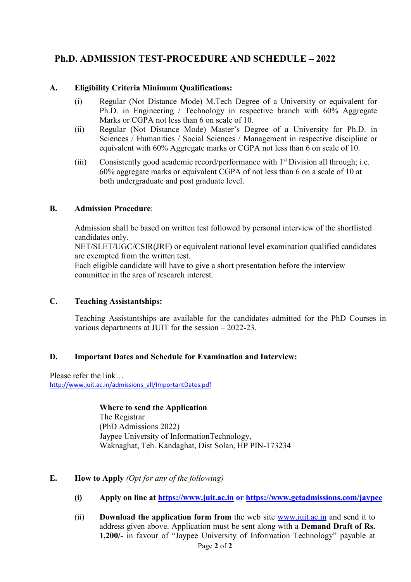# **Ph.D. ADMISSION TEST-PROCEDURE AND SCHEDULE – 2022**

### **A. Eligibility Criteria Minimum Qualifications:**

- (i) Regular (Not Distance Mode) M.Tech Degree of a University or equivalent for Ph.D. in Engineering / Technology in respective branch with 60% Aggregate Marks or CGPA not less than 6 on scale of 10.
- (ii) Regular (Not Distance Mode) Master's Degree of a University for Ph.D. in Sciences / Humanities / Social Sciences / Management in respective discipline or equivalent with 60% Aggregate marks or CGPA not less than 6 on scale of 10.
- (iii) Consistently good academic record/performance with  $1<sup>st</sup>$  Division all through; i.e. 60% aggregate marks or equivalent CGPA of not less than 6 on a scale of 10 at both undergraduate and post graduate level.

### **B. Admission Procedure**:

Admission shall be based on written test followed by personal interview of the shortlisted candidates only.

NET/SLET/UGC/CSIR(JRF) or equivalent national level examination qualified candidates are exempted from the written test.

Each eligible candidate will have to give a short presentation before the interview committee in the area of research interest.

### **C. Teaching Assistantships:**

Teaching Assistantships are available for the candidates admitted for the PhD Courses in various departments at JUIT for the session – 2022-23.

## **D. Important Dates and Schedule for Examination and Interview:**

Please refer the link… [http://www.juit.ac.in/admissions\\_all/ImportantDates.pdf](http://www.juit.ac.in/admissions_all/ImportantDates.pdf)

> **Where to send the Application** The Registrar (PhD Admissions 2022) Jaypee University of InformationTechnology, Waknaghat, Teh. Kandaghat, Dist Solan, HP PIN-173234

## **E. How to Apply** *(Opt for any of the following)*

- **(i) Apply on line at [https://www.juit.ac.in](https://www.juit.ac.in/) or<https://www.getadmissions.com/jaypee>**
- Page **2** of **2** (ii) **Download the application form from** the web site [www.juit.ac.in](http://www.juit.ac.inand/) and send it to address given above. Application must be sent along with a **Demand Draft of Rs. 1,200/-** in favour of "Jaypee University of Information Technology" payable at